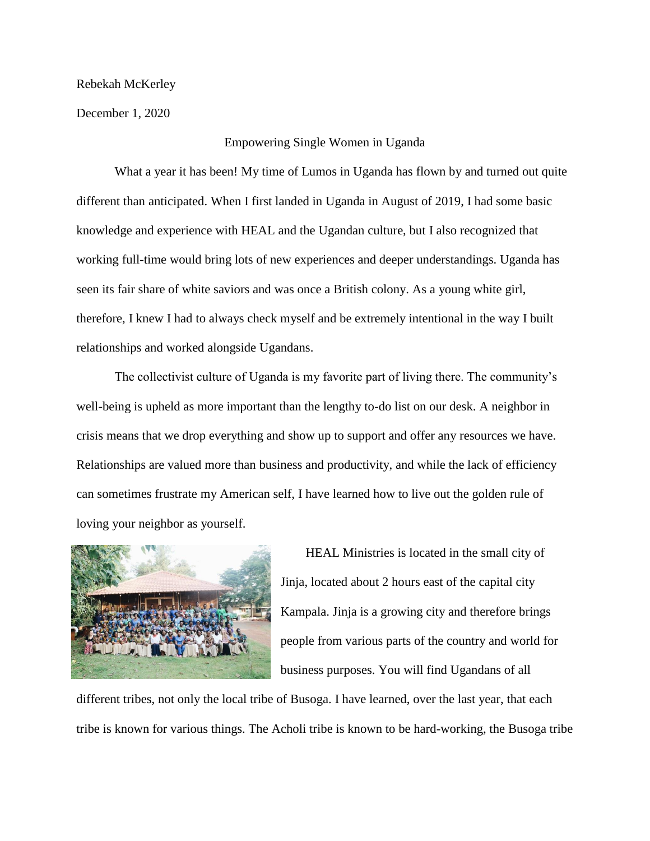Rebekah McKerley

December 1, 2020

## Empowering Single Women in Uganda

What a year it has been! My time of Lumos in Uganda has flown by and turned out quite different than anticipated. When I first landed in Uganda in August of 2019, I had some basic knowledge and experience with HEAL and the Ugandan culture, but I also recognized that working full-time would bring lots of new experiences and deeper understandings. Uganda has seen its fair share of white saviors and was once a British colony. As a young white girl, therefore, I knew I had to always check myself and be extremely intentional in the way I built relationships and worked alongside Ugandans.

The collectivist culture of Uganda is my favorite part of living there. The community's well-being is upheld as more important than the lengthy to-do list on our desk. A neighbor in crisis means that we drop everything and show up to support and offer any resources we have. Relationships are valued more than business and productivity, and while the lack of efficiency can sometimes frustrate my American self, I have learned how to live out the golden rule of loving your neighbor as yourself.



HEAL Ministries is located in the small city of Jinja, located about 2 hours east of the capital city Kampala. Jinja is a growing city and therefore brings people from various parts of the country and world for business purposes. You will find Ugandans of all

different tribes, not only the local tribe of Busoga. I have learned, over the last year, that each tribe is known for various things. The Acholi tribe is known to be hard-working, the Busoga tribe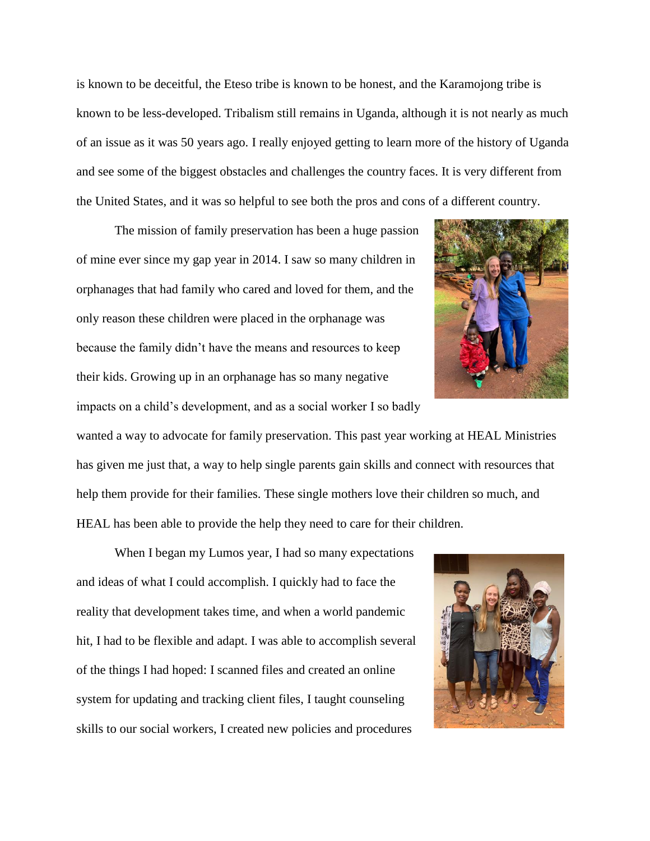is known to be deceitful, the Eteso tribe is known to be honest, and the Karamojong tribe is known to be less-developed. Tribalism still remains in Uganda, although it is not nearly as much of an issue as it was 50 years ago. I really enjoyed getting to learn more of the history of Uganda and see some of the biggest obstacles and challenges the country faces. It is very different from the United States, and it was so helpful to see both the pros and cons of a different country.

The mission of family preservation has been a huge passion of mine ever since my gap year in 2014. I saw so many children in orphanages that had family who cared and loved for them, and the only reason these children were placed in the orphanage was because the family didn't have the means and resources to keep their kids. Growing up in an orphanage has so many negative

impacts on a child's development, and as a social worker I so badly wanted a way to advocate for family preservation. This past year working at HEAL Ministries has given me just that, a way to help single parents gain skills and connect with resources that help them provide for their families. These single mothers love their children so much, and HEAL has been able to provide the help they need to care for their children.

When I began my Lumos year, I had so many expectations and ideas of what I could accomplish. I quickly had to face the reality that development takes time, and when a world pandemic hit, I had to be flexible and adapt. I was able to accomplish several of the things I had hoped: I scanned files and created an online system for updating and tracking client files, I taught counseling skills to our social workers, I created new policies and procedures



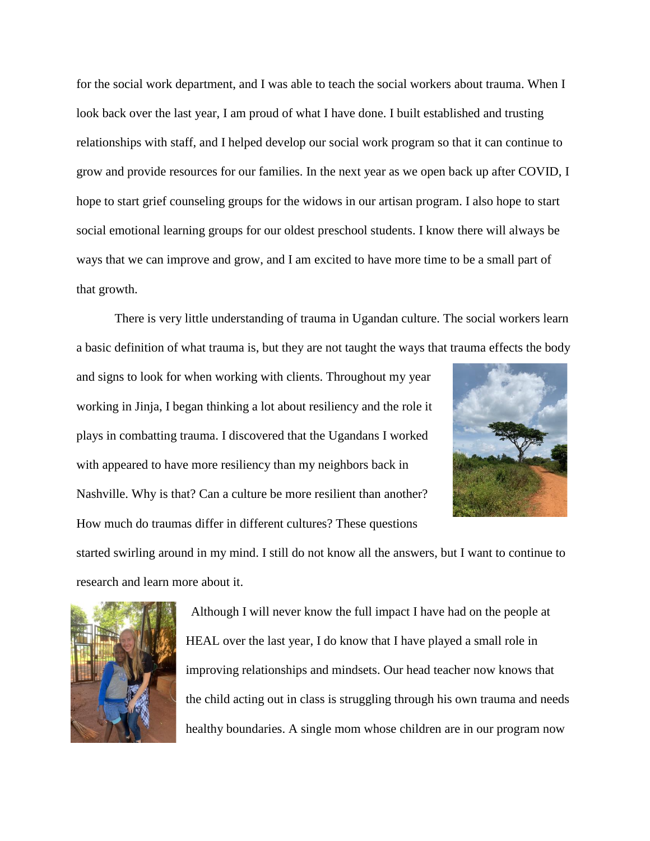for the social work department, and I was able to teach the social workers about trauma. When I look back over the last year, I am proud of what I have done. I built established and trusting relationships with staff, and I helped develop our social work program so that it can continue to grow and provide resources for our families. In the next year as we open back up after COVID, I hope to start grief counseling groups for the widows in our artisan program. I also hope to start social emotional learning groups for our oldest preschool students. I know there will always be ways that we can improve and grow, and I am excited to have more time to be a small part of that growth.

There is very little understanding of trauma in Ugandan culture. The social workers learn a basic definition of what trauma is, but they are not taught the ways that trauma effects the body

and signs to look for when working with clients. Throughout my year working in Jinja, I began thinking a lot about resiliency and the role it plays in combatting trauma. I discovered that the Ugandans I worked with appeared to have more resiliency than my neighbors back in Nashville. Why is that? Can a culture be more resilient than another? How much do traumas differ in different cultures? These questions



started swirling around in my mind. I still do not know all the answers, but I want to continue to research and learn more about it.



Although I will never know the full impact I have had on the people at HEAL over the last year, I do know that I have played a small role in improving relationships and mindsets. Our head teacher now knows that the child acting out in class is struggling through his own trauma and needs healthy boundaries. A single mom whose children are in our program now